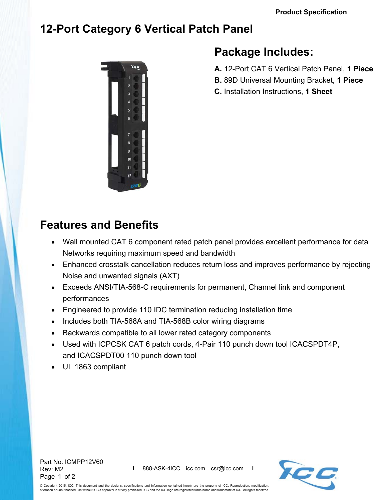# **12-Port Category 6 Vertical Patch Panel**



# **Package Includes:**

- **A.** 12-Port CAT 6 Vertical Patch Panel, **1 Piece**
- **B.** 89D Universal Mounting Bracket, **1 Piece**
- **C.** Installation Instructions, **1 Sheet**

# **Features and Benefits**

- Wall mounted CAT 6 component rated patch panel provides excellent performance for data Networks requiring maximum speed and bandwidth
- Enhanced crosstalk cancellation reduces return loss and improves performance by rejecting Noise and unwanted signals (AXT)
- Exceeds ANSI/TIA-568-C requirements for permanent, Channel link and component performances
- Engineered to provide 110 IDC termination reducing installation time
- Includes both TIA-568A and TIA-568B color wiring diagrams
- Backwards compatible to all lower rated category components
- Used with ICPCSK CAT 6 patch cords, 4-Pair 110 punch down tool ICACSPDT4P, and ICACSPDT00 110 punch down tool
- UL 1863 compliant

Part No: ICMPP12V60 Rev: M2 Page 1 of 2



© Copyright 2015, ICC. This document and the designs, specifications and information contained herein are the property of ICC. Reproduction, modification, hight zord, toor than accreation and are accreated, and the ICC logo are registered trade name and trademark of ICC. All rights reserved.<br>In or unauthorized use without ICC's approval is strictly prohibited. ICC and the IC